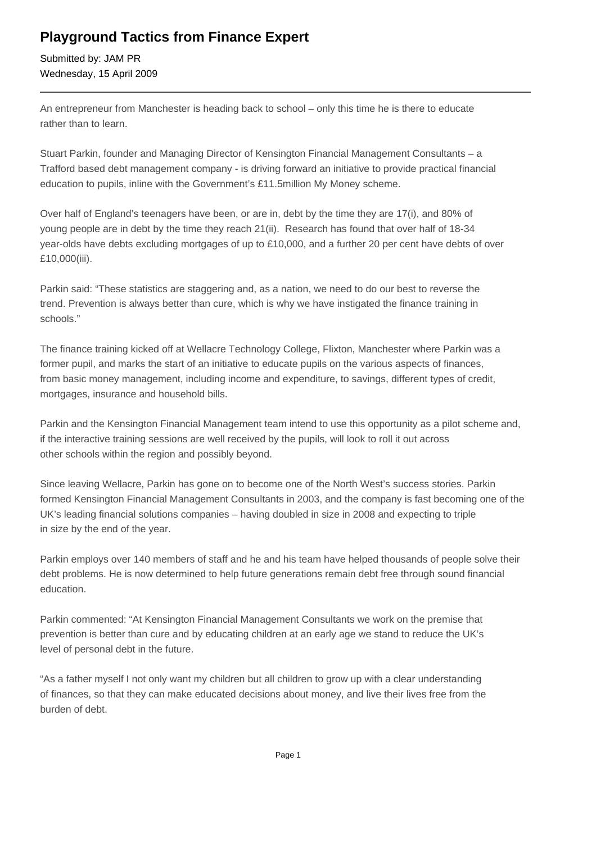## **Playground Tactics from Finance Expert**

Submitted by: JAM PR Wednesday, 15 April 2009

An entrepreneur from Manchester is heading back to school – only this time he is there to educate rather than to learn.

Stuart Parkin, founder and Managing Director of Kensington Financial Management Consultants – a Trafford based debt management company - is driving forward an initiative to provide practical financial education to pupils, inline with the Government's £11.5million My Money scheme.

Over half of England's teenagers have been, or are in, debt by the time they are 17(i), and 80% of young people are in debt by the time they reach 21(ii). Research has found that over half of 18-34 year-olds have debts excluding mortgages of up to £10,000, and a further 20 per cent have debts of over £10,000(iii).

Parkin said: "These statistics are staggering and, as a nation, we need to do our best to reverse the trend. Prevention is always better than cure, which is why we have instigated the finance training in schools."

The finance training kicked off at Wellacre Technology College, Flixton, Manchester where Parkin was a former pupil, and marks the start of an initiative to educate pupils on the various aspects of finances, from basic money management, including income and expenditure, to savings, different types of credit, mortgages, insurance and household bills.

Parkin and the Kensington Financial Management team intend to use this opportunity as a pilot scheme and, if the interactive training sessions are well received by the pupils, will look to roll it out across other schools within the region and possibly beyond.

Since leaving Wellacre, Parkin has gone on to become one of the North West's success stories. Parkin formed Kensington Financial Management Consultants in 2003, and the company is fast becoming one of the UK's leading financial solutions companies – having doubled in size in 2008 and expecting to triple in size by the end of the year.

Parkin employs over 140 members of staff and he and his team have helped thousands of people solve their debt problems. He is now determined to help future generations remain debt free through sound financial education.

Parkin commented: "At Kensington Financial Management Consultants we work on the premise that prevention is better than cure and by educating children at an early age we stand to reduce the UK's level of personal debt in the future.

"As a father myself I not only want my children but all children to grow up with a clear understanding of finances, so that they can make educated decisions about money, and live their lives free from the burden of debt.